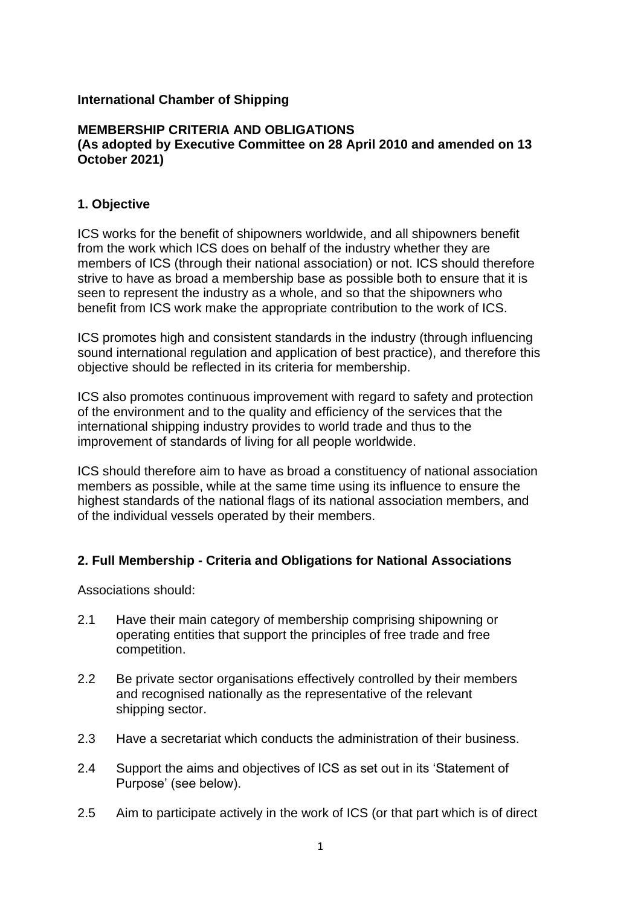### **International Chamber of Shipping**

#### **MEMBERSHIP CRITERIA AND OBLIGATIONS (As adopted by Executive Committee on 28 April 2010 and amended on 13 October 2021)**

### **1. Objective**

ICS works for the benefit of shipowners worldwide, and all shipowners benefit from the work which ICS does on behalf of the industry whether they are members of ICS (through their national association) or not. ICS should therefore strive to have as broad a membership base as possible both to ensure that it is seen to represent the industry as a whole, and so that the shipowners who benefit from ICS work make the appropriate contribution to the work of ICS.

ICS promotes high and consistent standards in the industry (through influencing sound international regulation and application of best practice), and therefore this objective should be reflected in its criteria for membership.

ICS also promotes continuous improvement with regard to safety and protection of the environment and to the quality and efficiency of the services that the international shipping industry provides to world trade and thus to the improvement of standards of living for all people worldwide.

ICS should therefore aim to have as broad a constituency of national association members as possible, while at the same time using its influence to ensure the highest standards of the national flags of its national association members, and of the individual vessels operated by their members.

## **2. Full Membership - Criteria and Obligations for National Associations**

Associations should:

- 2.1 Have their main category of membership comprising shipowning or operating entities that support the principles of free trade and free competition.
- 2.2 Be private sector organisations effectively controlled by their members and recognised nationally as the representative of the relevant shipping sector.
- 2.3 Have a secretariat which conducts the administration of their business.
- 2.4 Support the aims and objectives of ICS as set out in its 'Statement of Purpose' (see below).
- 2.5 Aim to participate actively in the work of ICS (or that part which is of direct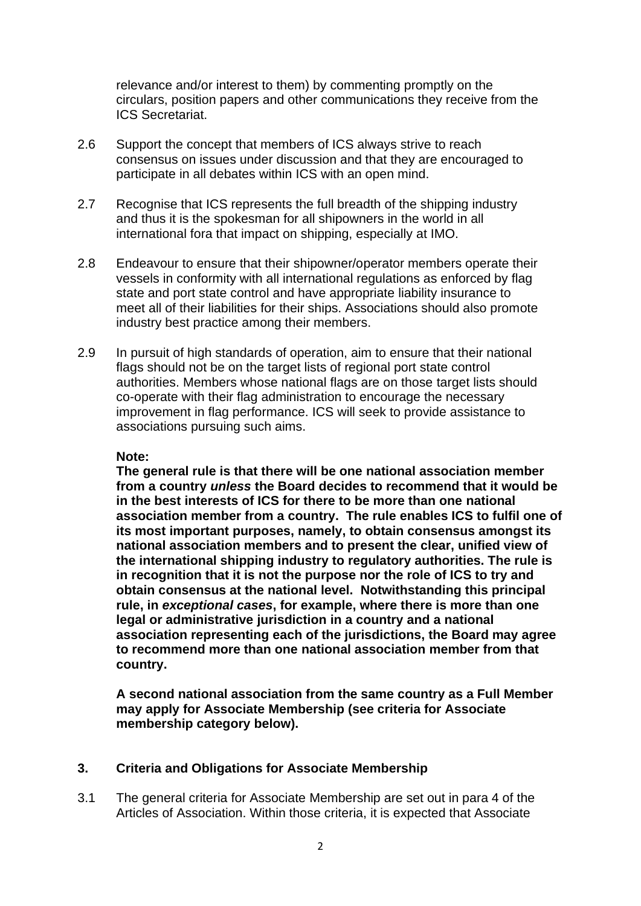relevance and/or interest to them) by commenting promptly on the circulars, position papers and other communications they receive from the ICS Secretariat.

- 2.6 Support the concept that members of ICS always strive to reach consensus on issues under discussion and that they are encouraged to participate in all debates within ICS with an open mind.
- 2.7 Recognise that ICS represents the full breadth of the shipping industry and thus it is the spokesman for all shipowners in the world in all international fora that impact on shipping, especially at IMO.
- 2.8 Endeavour to ensure that their shipowner/operator members operate their vessels in conformity with all international regulations as enforced by flag state and port state control and have appropriate liability insurance to meet all of their liabilities for their ships. Associations should also promote industry best practice among their members.
- 2.9 In pursuit of high standards of operation, aim to ensure that their national flags should not be on the target lists of regional port state control authorities. Members whose national flags are on those target lists should co-operate with their flag administration to encourage the necessary improvement in flag performance. ICS will seek to provide assistance to associations pursuing such aims.

#### **Note:**

**The general rule is that there will be one national association member from a country** *unless* **the Board decides to recommend that it would be in the best interests of ICS for there to be more than one national association member from a country. The rule enables ICS to fulfil one of its most important purposes, namely, to obtain consensus amongst its national association members and to present the clear, unified view of the international shipping industry to regulatory authorities. The rule is in recognition that it is not the purpose nor the role of ICS to try and obtain consensus at the national level. Notwithstanding this principal rule, in** *exceptional cases***, for example, where there is more than one legal or administrative jurisdiction in a country and a national association representing each of the jurisdictions, the Board may agree to recommend more than one national association member from that country.**

**A second national association from the same country as a Full Member may apply for Associate Membership (see criteria for Associate membership category below).** 

### **3. Criteria and Obligations for Associate Membership**

3.1 The general criteria for Associate Membership are set out in para 4 of the Articles of Association. Within those criteria, it is expected that Associate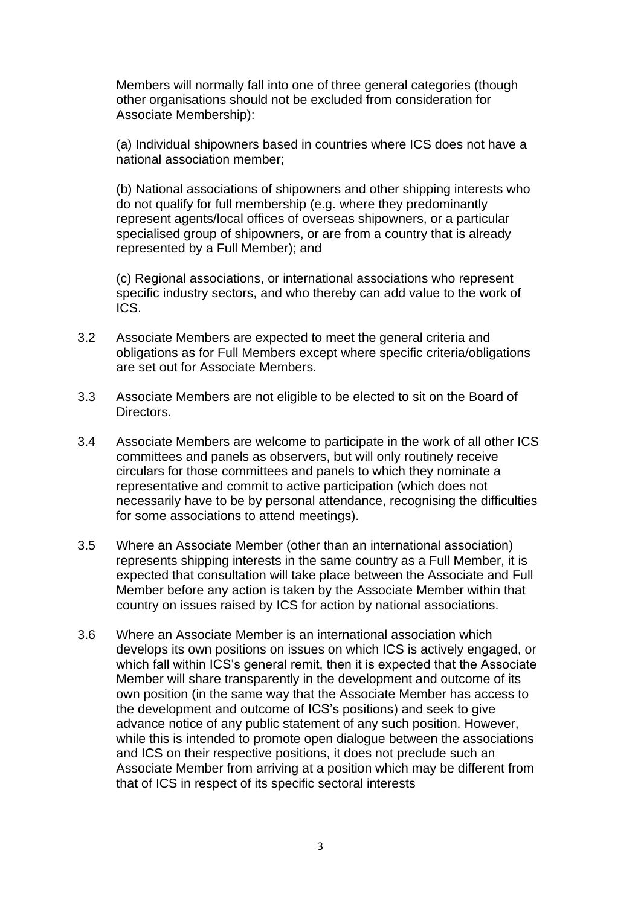Members will normally fall into one of three general categories (though other organisations should not be excluded from consideration for Associate Membership):

(a) Individual shipowners based in countries where ICS does not have a national association member;

(b) National associations of shipowners and other shipping interests who do not qualify for full membership (e.g. where they predominantly represent agents/local offices of overseas shipowners, or a particular specialised group of shipowners, or are from a country that is already represented by a Full Member); and

(c) Regional associations, or international associations who represent specific industry sectors, and who thereby can add value to the work of ICS.

- 3.2 Associate Members are expected to meet the general criteria and obligations as for Full Members except where specific criteria/obligations are set out for Associate Members.
- 3.3 Associate Members are not eligible to be elected to sit on the Board of Directors.
- 3.4 Associate Members are welcome to participate in the work of all other ICS committees and panels as observers, but will only routinely receive circulars for those committees and panels to which they nominate a representative and commit to active participation (which does not necessarily have to be by personal attendance, recognising the difficulties for some associations to attend meetings).
- 3.5 Where an Associate Member (other than an international association) represents shipping interests in the same country as a Full Member, it is expected that consultation will take place between the Associate and Full Member before any action is taken by the Associate Member within that country on issues raised by ICS for action by national associations.
- 3.6 Where an Associate Member is an international association which develops its own positions on issues on which ICS is actively engaged, or which fall within ICS's general remit, then it is expected that the Associate Member will share transparently in the development and outcome of its own position (in the same way that the Associate Member has access to the development and outcome of ICS's positions) and seek to give advance notice of any public statement of any such position. However, while this is intended to promote open dialogue between the associations and ICS on their respective positions, it does not preclude such an Associate Member from arriving at a position which may be different from that of ICS in respect of its specific sectoral interests